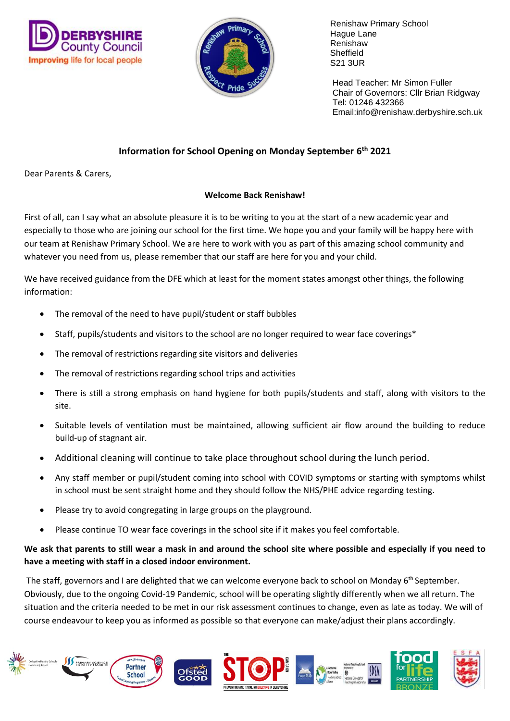



 Head Teacher: Mr Simon Fuller Chair of Governors: Cllr Brian Ridgway Tel: 01246 432366 Email:info@renishaw.derbyshire.sch.uk

# **Information for School Opening on Monday September 6 th 2021**

Dear Parents & Carers,

## **Welcome Back Renishaw!**

First of all, can I say what an absolute pleasure it is to be writing to you at the start of a new academic year and especially to those who are joining our school for the first time. We hope you and your family will be happy here with our team at Renishaw Primary School. We are here to work with you as part of this amazing school community and whatever you need from us, please remember that our staff are here for you and your child.

We have received guidance from the DFE which at least for the moment states amongst other things, the following information:

- The removal of the need to have pupil/student or staff bubbles
- Staff, pupils/students and visitors to the school are no longer required to wear face coverings\*
- The removal of restrictions regarding site visitors and deliveries
- The removal of restrictions regarding school trips and activities
- There is still a strong emphasis on hand hygiene for both pupils/students and staff, along with visitors to the site.
- Suitable levels of ventilation must be maintained, allowing sufficient air flow around the building to reduce build-up of stagnant air.
- Additional cleaning will continue to take place throughout school during the lunch period.
- Any staff member or pupil/student coming into school with COVID symptoms or starting with symptoms whilst in school must be sent straight home and they should follow the NHS/PHE advice regarding testing.
- Please try to avoid congregating in large groups on the playground.
- Please continue TO wear face coverings in the school site if it makes you feel comfortable.

## **We ask that parents to still wear a mask in and around the school site where possible and especially if you need to have a meeting with staff in a closed indoor environment.**

The staff, governors and I are delighted that we can welcome everyone back to school on Monday 6<sup>th</sup> September. Obviously, due to the ongoing Covid-19 Pandemic, school will be operating slightly differently when we all return. The situation and the criteria needed to be met in our risk assessment continues to change, even as late as today. We will of course endeavour to keep you as informed as possible so that everyone can make/adjust their plans accordingly.

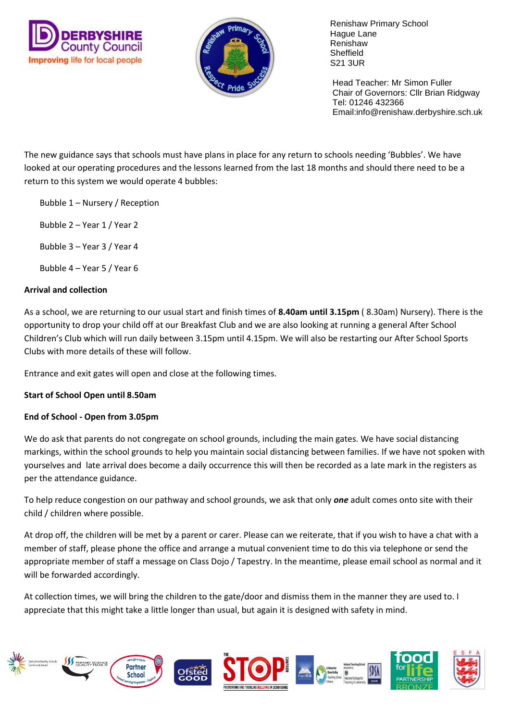



 Head Teacher: Mr Simon Fuller Chair of Governors: Cllr Brian Ridgway Tel: 01246 432366 Email:info@renishaw.derbyshire.sch.uk

The new guidance says that schools must have plans in place for any return to schools needing 'Bubbles'. We have looked at our operating procedures and the lessons learned from the last 18 months and should there need to be a return to this system we would operate 4 bubbles:

Bubble 1 – Nursery / Reception

Bubble 2 – Year 1 / Year 2

Bubble 3 – Year 3 / Year 4

Bubble 4 – Year 5 / Year 6

### **Arrival and collection**

As a school, we are returning to our usual start and finish times of **8.40am until 3.15pm** ( 8.30am) Nursery). There is the opportunity to drop your child off at our Breakfast Club and we are also looking at running a general After School Children's Club which will run daily between 3.15pm until 4.15pm. We will also be restarting our After School Sports Clubs with more details of these will follow.

Entrance and exit gates will open and close at the following times.

#### **Start of School Open until 8.50am**

### **End of School - Open from 3.05pm**

We do ask that parents do not congregate on school grounds, including the main gates. We have social distancing markings, within the school grounds to help you maintain social distancing between families. If we have not spoken with yourselves and late arrival does become a daily occurrence this will then be recorded as a late mark in the registers as per the attendance guidance.

To help reduce congestion on our pathway and school grounds, we ask that only *one* adult comes onto site with their child / children where possible.

At drop off, the children will be met by a parent or carer. Please can we reiterate, that if you wish to have a chat with a member of staff, please phone the office and arrange a mutual convenient time to do this via telephone or send the appropriate member of staff a message on Class Dojo / Tapestry. In the meantime, please email school as normal and it will be forwarded accordingly.

At collection times, we will bring the children to the gate/door and dismiss them in the manner they are used to. I appreciate that this might take a little longer than usual, but again it is designed with safety in mind.

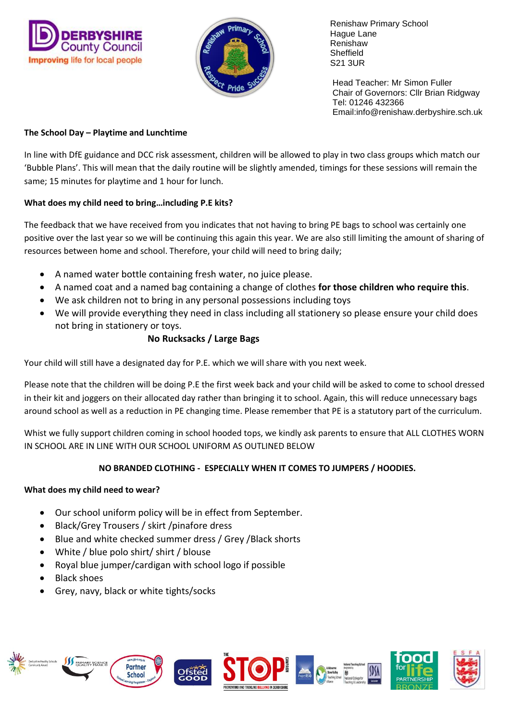



 Head Teacher: Mr Simon Fuller Chair of Governors: Cllr Brian Ridgway Tel: 01246 432366 Email:info@renishaw.derbyshire.sch.uk

## **The School Day – Playtime and Lunchtime**

In line with DfE guidance and DCC risk assessment, children will be allowed to play in two class groups which match our 'Bubble Plans'. This will mean that the daily routine will be slightly amended, timings for these sessions will remain the same; 15 minutes for playtime and 1 hour for lunch.

## **What does my child need to bring…including P.E kits?**

The feedback that we have received from you indicates that not having to bring PE bags to school was certainly one positive over the last year so we will be continuing this again this year. We are also still limiting the amount of sharing of resources between home and school. Therefore, your child will need to bring daily;

- A named water bottle containing fresh water, no juice please.
- A named coat and a named bag containing a change of clothes **for those children who require this**.
- We ask children not to bring in any personal possessions including toys
- We will provide everything they need in class including all stationery so please ensure your child does not bring in stationery or toys.

## **No Rucksacks / Large Bags**

Your child will still have a designated day for P.E. which we will share with you next week.

Please note that the children will be doing P.E the first week back and your child will be asked to come to school dressed in their kit and joggers on their allocated day rather than bringing it to school. Again, this will reduce unnecessary bags around school as well as a reduction in PE changing time. Please remember that PE is a statutory part of the curriculum.

Whist we fully support children coming in school hooded tops, we kindly ask parents to ensure that ALL CLOTHES WORN IN SCHOOL ARE IN LINE WITH OUR SCHOOL UNIFORM AS OUTLINED BELOW

## **NO BRANDED CLOTHING - ESPECIALLY WHEN IT COMES TO JUMPERS / HOODIES.**

### **What does my child need to wear?**

- Our school uniform policy will be in effect from September.
- Black/Grey Trousers / skirt /pinafore dress
- Blue and white checked summer dress / Grey /Black shorts
- White / blue polo shirt/ shirt / blouse
- Royal blue jumper/cardigan with school logo if possible
- Black shoes
- Grey, navy, black or white tights/socks

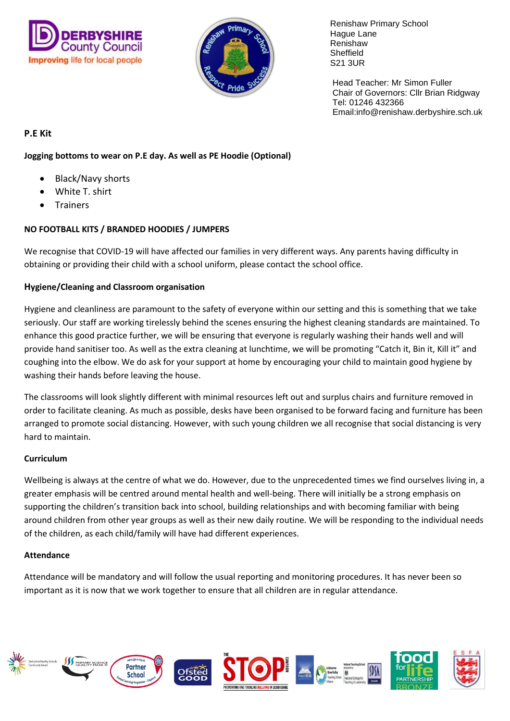



 Head Teacher: Mr Simon Fuller Chair of Governors: Cllr Brian Ridgway Tel: 01246 432366 Email:info@renishaw.derbyshire.sch.uk

## **P.E Kit**

## **Jogging bottoms to wear on P.E day. As well as PE Hoodie (Optional)**

- Black/Navy shorts
- White T. shirt
- **Trainers**

## **NO FOOTBALL KITS / BRANDED HOODIES / JUMPERS**

We recognise that COVID-19 will have affected our families in very different ways. Any parents having difficulty in obtaining or providing their child with a school uniform, please contact the school office.

## **Hygiene/Cleaning and Classroom organisation**

Hygiene and cleanliness are paramount to the safety of everyone within our setting and this is something that we take seriously. Our staff are working tirelessly behind the scenes ensuring the highest cleaning standards are maintained. To enhance this good practice further, we will be ensuring that everyone is regularly washing their hands well and will provide hand sanitiser too. As well as the extra cleaning at lunchtime, we will be promoting "Catch it, Bin it, Kill it" and coughing into the elbow. We do ask for your support at home by encouraging your child to maintain good hygiene by washing their hands before leaving the house.

The classrooms will look slightly different with minimal resources left out and surplus chairs and furniture removed in order to facilitate cleaning. As much as possible, desks have been organised to be forward facing and furniture has been arranged to promote social distancing. However, with such young children we all recognise that social distancing is very hard to maintain.

### **Curriculum**

Wellbeing is always at the centre of what we do. However, due to the unprecedented times we find ourselves living in, a greater emphasis will be centred around mental health and well-being. There will initially be a strong emphasis on supporting the children's transition back into school, building relationships and with becoming familiar with being around children from other year groups as well as their new daily routine. We will be responding to the individual needs of the children, as each child/family will have had different experiences.

### **Attendance**

Attendance will be mandatory and will follow the usual reporting and monitoring procedures. It has never been so important as it is now that we work together to ensure that all children are in regular attendance.

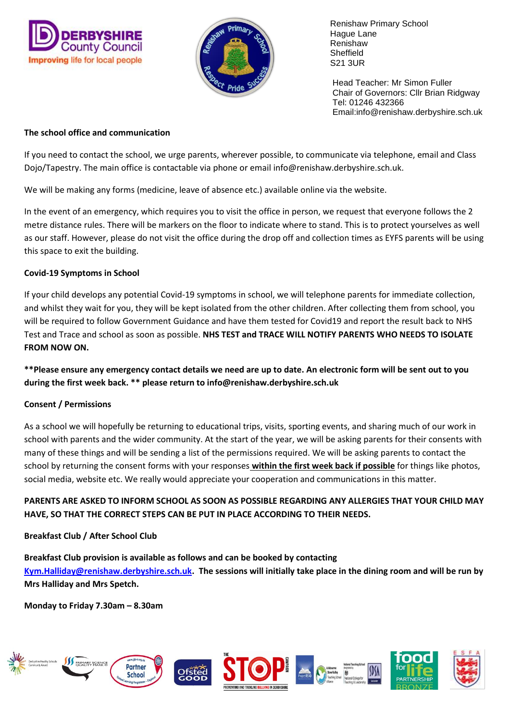



 Head Teacher: Mr Simon Fuller Chair of Governors: Cllr Brian Ridgway Tel: 01246 432366 Email:info@renishaw.derbyshire.sch.uk

### **The school office and communication**

If you need to contact the school, we urge parents, wherever possible, to communicate via telephone, email and Class Dojo/Tapestry. The main office is contactable via phone or email info@renishaw.derbyshire.sch.uk.

We will be making any forms (medicine, leave of absence etc.) available online via the website.

In the event of an emergency, which requires you to visit the office in person, we request that everyone follows the 2 metre distance rules. There will be markers on the floor to indicate where to stand. This is to protect yourselves as well as our staff. However, please do not visit the office during the drop off and collection times as EYFS parents will be using this space to exit the building.

## **Covid-19 Symptoms in School**

If your child develops any potential Covid-19 symptoms in school, we will telephone parents for immediate collection, and whilst they wait for you, they will be kept isolated from the other children. After collecting them from school, you will be required to follow Government Guidance and have them tested for Covid19 and report the result back to NHS Test and Trace and school as soon as possible. **NHS TEST and TRACE WILL NOTIFY PARENTS WHO NEEDS TO ISOLATE FROM NOW ON.**

**\*\*Please ensure any emergency contact details we need are up to date. An electronic form will be sent out to you during the first week back. \*\* please return to info@renishaw.derbyshire.sch.uk**

### **Consent / Permissions**

As a school we will hopefully be returning to educational trips, visits, sporting events, and sharing much of our work in school with parents and the wider community. At the start of the year, we will be asking parents for their consents with many of these things and will be sending a list of the permissions required. We will be asking parents to contact the school by returning the consent forms with your responses **within the first week back if possible** for things like photos, social media, website etc. We really would appreciate your cooperation and communications in this matter.

## **PARENTS ARE ASKED TO INFORM SCHOOL AS SOON AS POSSIBLE REGARDING ANY ALLERGIES THAT YOUR CHILD MAY HAVE, SO THAT THE CORRECT STEPS CAN BE PUT IN PLACE ACCORDING TO THEIR NEEDS.**

## **Breakfast Club / After School Club**

**Breakfast Club provision is available as follows and can be booked by contacting [Kym.Halliday@renishaw.derbyshire.sch.uk.](mailto:Kym.Halliday@renishaw.derbyshire.sch.uk) The sessions will initially take place in the dining room and will be run by Mrs Halliday and Mrs Spetch.**

**Monday to Friday 7.30am – 8.30am**